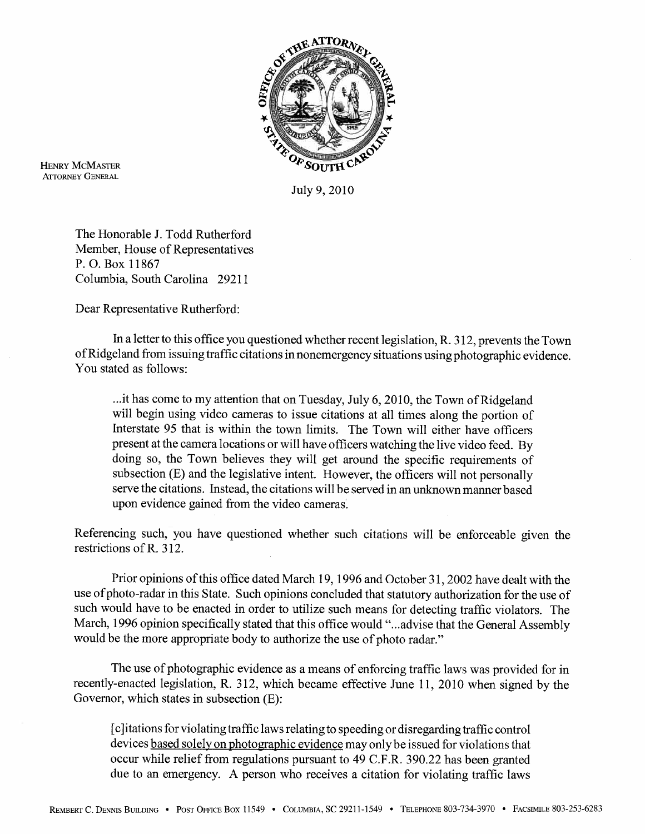

**HENRY MCMASTER ATTORNEY GENERAL** 

July 9,2010

The Honorable J. Todd Rutherford Member, House of Representatives P. 0. Box 11867 Columbia, South Carolina 29211

Dear Representative Rutherford:

In a letter to this office you questioned whether recent legislation, R. 3 12, prevents the Town of Ridgeland from issuing traffic citations in nonemergency situations using photographic evidence. You stated as follows:

... it has come to my attention that on Tuesday, July 6,2010, the Town of Ridgeland will begin using video cameras to issue citations at all times along the portion of Interstate 95 that is within the town limits. The Town will either have officers present at the camera locations or will have officers watching the live video feed. By doing so, the Town believes they will get around the specific requirements of subsection (E) and the legislative intent. However, the officers will not personally serve the citations. Instead, the citations will be served in an unknown manner based upon evidence gained from the video cameras.

Referencing such, you have questioned whether such citations will be enforceable given the restrictions of R. 3 12.

Prior opinions of this office dated March 19,1996 and October **3** 1,2002 have dealt with the use of photo-radar in this State. Such opinions concluded that statutory authorization for the use of such would have to be enacted in order to utilize such means for detecting traffic violators. The March, 1996 opinion specifically stated that this office would "...advise that the General Assembly would be the more appropriate body to authorize the use of photo radar."

The use of photographic evidence as a means of enforcing traffic laws was provided for in recently-enacted legislation, R. 312, which became effective June 11, 2010 when signed by the Governor, which states in subsection (E):

[clitations for violating traffic laws relating to speeding or disregarding traffic control devices based solely on photographic evidence may only be issued for violations that occur while relief from regulations pursuant to 49 C.F.R. 390.22 has been granted due to an emergency. A person who receives a citation for violating traffic laws